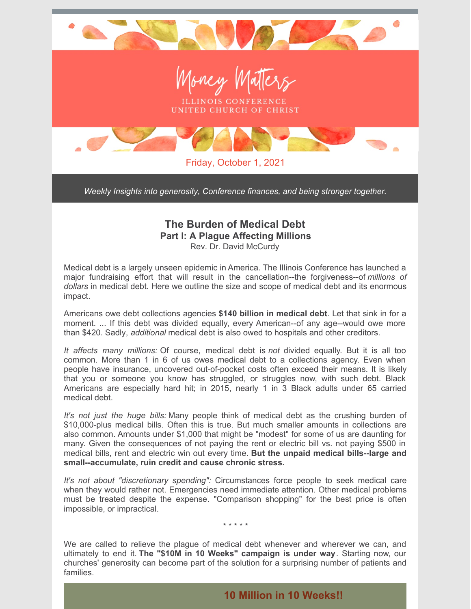

*Weekly Insights into generosity, Conference finances, and being stronger together.*

## **The Burden of Medical Debt Part I: A Plague Affecting Millions**

Rev. Dr. David McCurdy

Medical debt is a largely unseen epidemic in America. The Illinois Conference has launched a major fundraising effort that will result in the cancellation--the forgiveness--of *millions of dollars* in medical debt. Here we outline the size and scope of medical debt and its enormous impact.

Americans owe debt collections agencies **\$140 billion in medical debt**. Let that sink in for a moment. ... If this debt was divided equally, every American--of any age--would owe more than \$420. Sadly, *additional* medical debt is also owed to hospitals and other creditors.

*It affects many millions:* Of course, medical debt is *not* divided equally. But it is all too common. More than 1 in 6 of us owes medical debt to a collections agency. Even when people have insurance, uncovered out-of-pocket costs often exceed their means. It is likely that you or someone you know has struggled, or struggles now, with such debt. Black Americans are especially hard hit; in 2015, nearly 1 in 3 Black adults under 65 carried medical debt.

*It's not just the huge bills:* Many people think of medical debt as the crushing burden of \$10,000-plus medical bills. Often this is true. But much smaller amounts in collections are also common. Amounts under \$1,000 that might be "modest" for some of us are daunting for many. Given the consequences of not paying the rent or electric bill vs. not paying \$500 in medical bills, rent and electric win out every time. **But the unpaid medical bills--large and small--accumulate, ruin credit and cause chronic stress.**

*It's not about "discretionary spending":* Circumstances force people to seek medical care when they would rather not. Emergencies need immediate attention. Other medical problems must be treated despite the expense. "Comparison shopping" for the best price is often impossible, or impractical.

\* \* \* \* \*

We are called to relieve the plague of medical debt whenever and wherever we can, and ultimately to end it. **The "\$10M in 10 Weeks" campaign is under way**. Starting now, our churches' generosity can become part of the solution for a surprising number of patients and families.

**10 Million in 10 Weeks!!**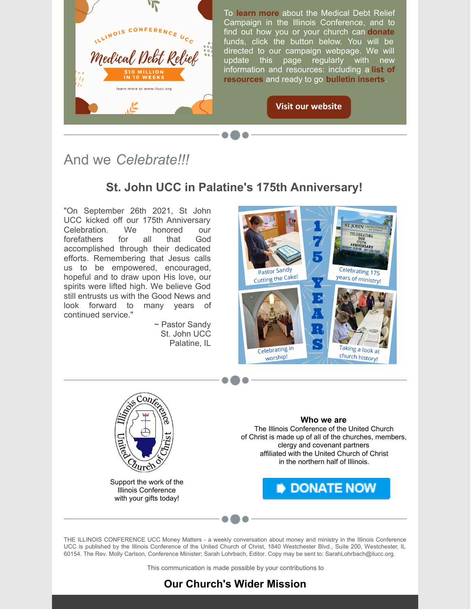

And we *Celebrate!!!*

## **St. John UCC in Palatine's 175th Anniversary!**

"On September 26th 2021, St John UCC kicked off our 175th Anniversary Celebration. We honored our forefathers for all that God accomplished through their dedicated efforts. Remembering that Jesus calls us to be empowered, encouraged, hopeful and to draw upon His love, our spirits were lifted high. We believe God still entrusts us with the Good News and look forward to many years of continued service."

> ~ Pastor Sandy St. John UCC Palatine, IL





Support the work of the Illinois Conference with your gifts today!

**Who we are**

The Illinois Conference of the United Church of Christ is made up of all of the churches, members, clergy and covenant partners affiliated with the United Church of Christ in the northern half of Illinois.

**DONATE NOW** 

THE ILLINOIS CONFERENCE UCC Money Matters - a weekly conversation about money and ministry in the Illinois Conference UCC is published by the Illinois Conference of the United Church of Christ, 1840 Westchester Blvd., Suite 200, Westchester, IL 60154. The Rev. Molly Carlson, Conference Minister; Sarah Lohrbach, Editor. Copy may be sent to: SarahLohrbach@ilucc.org.

This communication is made possible by your contributions to

## **Our Church's Wider Mission**